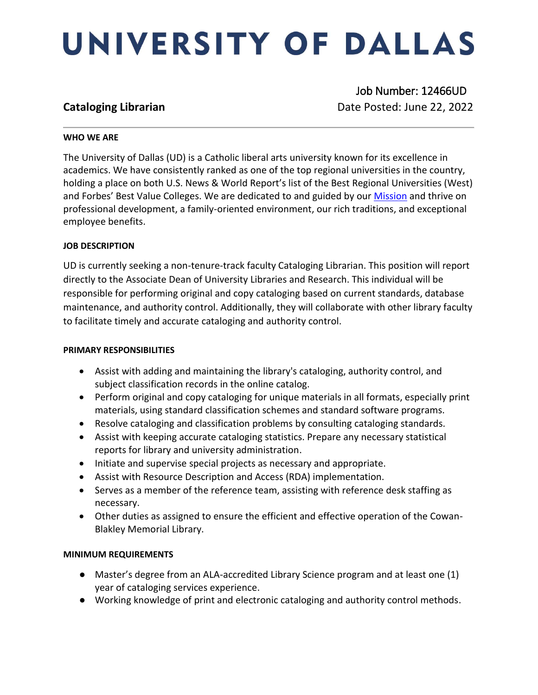# UNIVERSITY OF DALLAS

 Job Number: 12466UD **Cataloging Librarian**  Date Posted: June 22, 2022

#### **WHO WE ARE**

The University of Dallas (UD) is a Catholic liberal arts university known for its excellence in academics. We have consistently ranked as one of the top regional universities in the country, holding a place on both U.S. News & World Report's list of the Best Regional Universities (West) and Forbes' Best Value Colleges. We are dedicated to and guided by our [Mission](https://www.udallas.edu/about/mission.php) and thrive on professional development, a family-oriented environment, our rich traditions, and exceptional employee benefits.

### **JOB DESCRIPTION**

UD is currently seeking a non-tenure-track faculty Cataloging Librarian. This position will report directly to the Associate Dean of University Libraries and Research. This individual will be responsible for performing original and copy cataloging based on current standards, database maintenance, and authority control. Additionally, they will collaborate with other library faculty to facilitate timely and accurate cataloging and authority control.

#### **PRIMARY RESPONSIBILITIES**

- Assist with adding and maintaining the library's cataloging, authority control, and subject classification records in the online catalog.
- Perform original and copy cataloging for unique materials in all formats, especially print materials, using standard classification schemes and standard software programs.
- Resolve cataloging and classification problems by consulting cataloging standards.
- Assist with keeping accurate cataloging statistics. Prepare any necessary statistical reports for library and university administration.
- Initiate and supervise special projects as necessary and appropriate.
- Assist with Resource Description and Access (RDA) implementation.
- Serves as a member of the reference team, assisting with reference desk staffing as necessary.
- Other duties as assigned to ensure the efficient and effective operation of the Cowan-Blakley Memorial Library.

### **MINIMUM REQUIREMENTS**

- Master's degree from an ALA-accredited Library Science program and at least one (1) year of cataloging services experience.
- Working knowledge of print and electronic cataloging and authority control methods.